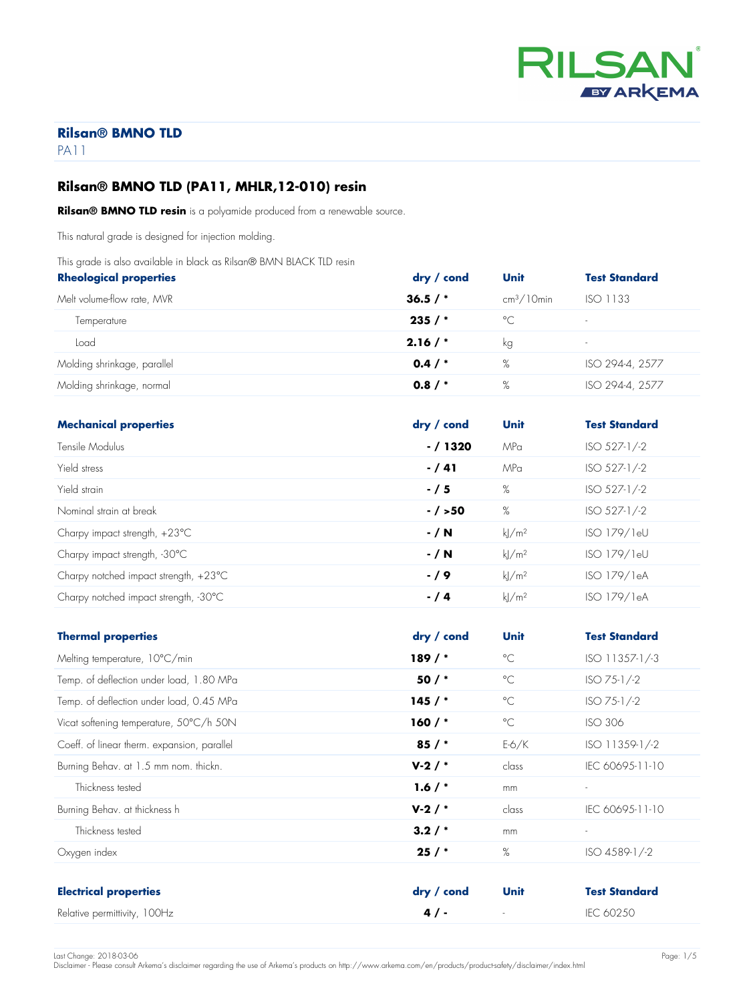

PA11

# **Rilsan® BMNO TLD (PA11, MHLR,12-010) resin**

**Rilsan® BMNO TLD resin** is a polyamide produced from a renewable source.

This natural grade is designed for injection molding.

This grade is also available in black as Rilsan® BMN BLACK TLD resin

| <b>Rheological properties</b> | dry / cond | <b>Unit</b>  | <b>Test Standard</b>     |
|-------------------------------|------------|--------------|--------------------------|
| Melt volume-flow rate, MVR    | 36.5/      | $cm3/10$ min | ISO 1133                 |
| Temperature                   | 235/       | $^{\circ}$ C | $\overline{\phantom{a}}$ |
| Load                          | 2.16/      | kg           | ۰.                       |
| Molding shrinkage, parallel   | 0.4/       | %            | ISO 294-4, 2577          |
| Molding shrinkage, normal     | 0.8/       | %            | ISO 294-4, 2577          |

| <b>Mechanical properties</b>                    | $\mathsf{dry}$ / cond | Unit                | <b>Test Standard</b> |
|-------------------------------------------------|-----------------------|---------------------|----------------------|
| Tensile Modulus                                 | $-/1320$              | MPa                 | $ISO$ 527-1/-2       |
| Yield stress                                    | $- / 41$              | MPa                 | $ISO$ 527-1/-2       |
| Yield strain                                    | $-15$                 | $\%$                | $ISO$ 527-1/-2       |
| Nominal strain at break                         | $- / > 50$            | $\%$                | $ISO 527-1/-2$       |
| Charpy impact strength, $+23^{\circ}$ C         | $- / N$               | $k$ /m <sup>2</sup> | ISO 179/1eU          |
| Charpy impact strength, -30°C                   | $- / N$               | $k$ /m <sup>2</sup> | ISO 179/1eU          |
| Charpy notched impact strength, $+23^{\circ}$ C | $-19$                 | kl/m <sup>2</sup>   | ISO 179/1eA          |
| Charpy notched impact strength, -30°C           | $- / 4$               | $k$ /m <sup>2</sup> | ISO 179/1eA          |

| <b>Thermal properties</b>                   | dry / cond | Unit                     | <b>Test Standard</b>     |
|---------------------------------------------|------------|--------------------------|--------------------------|
| Melting temperature, 10°C/min               | $189/$ *   | $^{\circ}$ C             | ISO 11357-1/-3           |
| Temp. of deflection under load, 1.80 MPa    | $50/$ *    | $^{\circ}$ C             | $ISO 75-1/-2$            |
| Temp. of deflection under load, 0.45 MPa    | 145/       | $^{\circ}$ C             | $ISO 75-1/-2$            |
| Vicat softening temperature, 50°C/h 50N     | $160/$ *   | $^{\circ}$ C             | <b>ISO 306</b>           |
| Coeff. of linear therm. expansion, parallel | $85/$ *    | $E-6/K$                  | ISO 11359-1/-2           |
| Burning Behav. at 1.5 mm nom. thickn.       | $V-2/$     | class                    | IEC 60695-11-10          |
| Thickness tested                            | 1.6 $/$ *  | mm                       | $\overline{\phantom{a}}$ |
| Burning Behav. at thickness h               | $V-2/$     | class                    | IEC 60695-11-10          |
| Thickness tested                            | $3.2/$ *   | mm                       | $\overline{\phantom{a}}$ |
| Oxygen index                                | 25/        | $\%$                     | ISO 4589-1/-2            |
|                                             |            |                          |                          |
| <b>Electrical properties</b>                | dry / cond | <b>Unit</b>              | <b>Test Standard</b>     |
| Relative permittivity, 100Hz                | 4/         | $\overline{\phantom{a}}$ | IEC 60250                |

Last Change: 2018-03-06 Page: 1/5 Disclaimer - Please consult Arkema's disclaimer regarding the use of Arkema's products on http://www.arkema.com/en/products/product-safety/disclaimer/index.html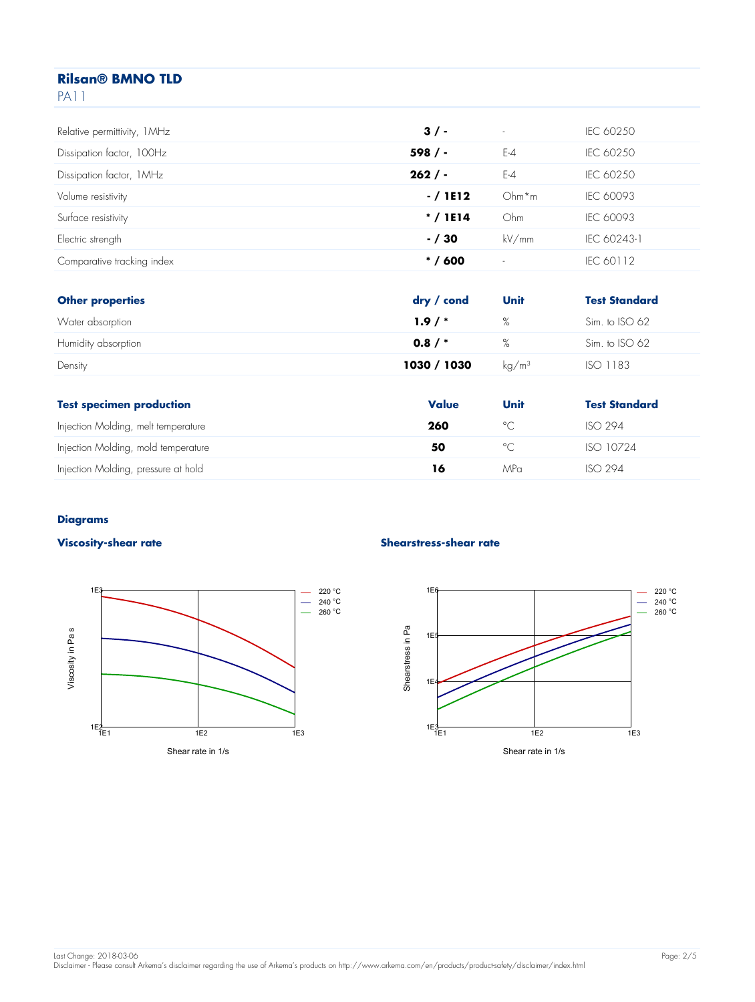| Relative permittivity, 1MHz | 3/         | $\sim$  | IEC 60250            |
|-----------------------------|------------|---------|----------------------|
| Dissipation factor, 100Hz   | 598/       | $E-4$   | IEC 60250            |
| Dissipation factor, 1MHz    | 262/       | $E-4$   | IEC 60250            |
| Volume resistivity          | $-/1$ E12  | $Ohm*m$ | IEC 60093            |
| Surface resistivity         | $* / 1E14$ | Ohm     | IEC 60093            |
| Electric strength           | $- / 30$   | kV/mm   | IEC 60243-1          |
| Comparative tracking index  | $* / 600$  | $\sim$  | IEC 60112            |
|                             |            |         |                      |
| <b>Other properties</b>     | dry / cond | Unit    | <b>Test Standard</b> |
| Water absorption            | 1.9/       | %       | Sim. to ISO 62       |
| Humidity absorption         | 0.8/       | %       | Sim. to ISO 62       |

| <b>Test specimen production</b>     | Value | Unit    | <b>Test Standard</b> |
|-------------------------------------|-------|---------|----------------------|
| Injection Molding, melt temperature | 260   | $\circ$ | <b>ISO 294</b>       |
| Injection Molding, mold temperature | 50    | $\circ$ | ISO 10724            |
| Injection Molding, pressure at hold | 16    | MPa     | <b>ISO 294</b>       |

Density **1030 / 1030** kg/m<sup>3</sup> ISO 1183

#### **Diagrams**



#### **Viscosity-shear rate Shearstress-shear rate**

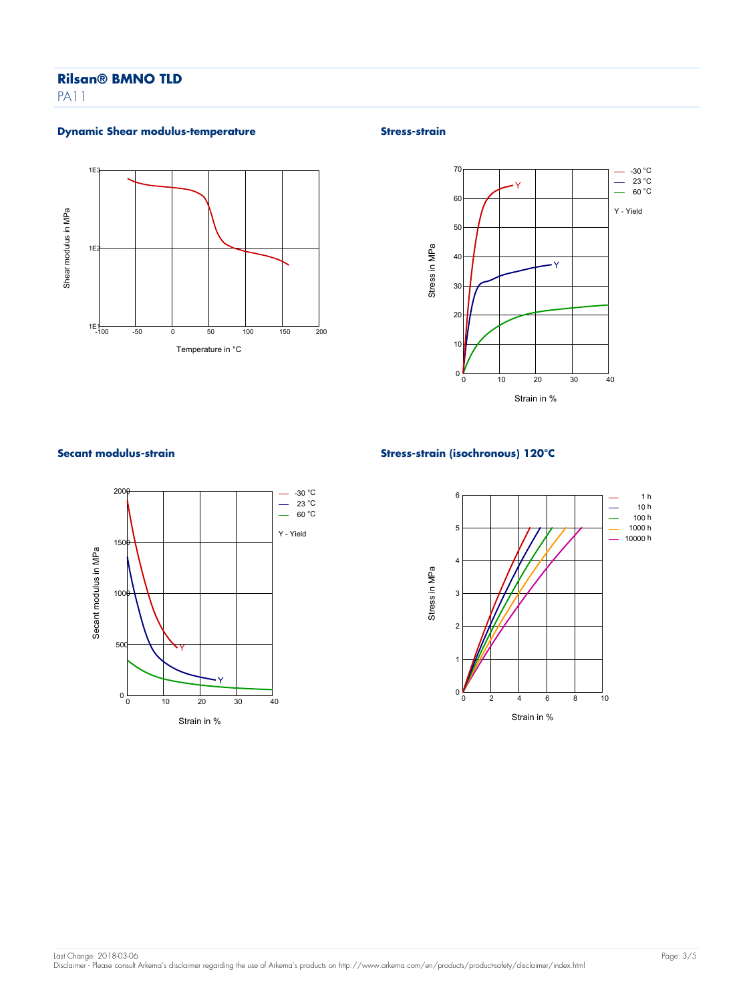PA11

### **Dynamic Shear modulus-temperature Stress-strain Stress-strain**







#### **Secant modulus-strain Stress-strain (isochronous) 120°C**

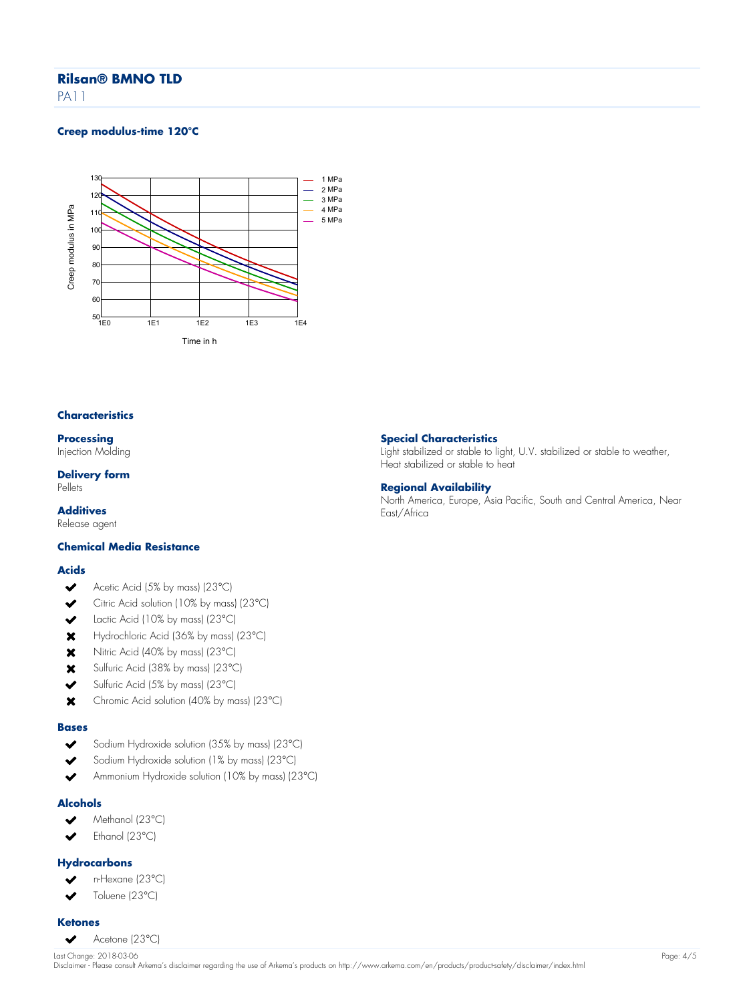PA11

#### **Creep modulus-time 120°C**



#### **Characteristics**

**Processing**

Injection Molding

# **Delivery form**

Pellets

# **Additives**

Release agent

#### **Chemical Media Resistance**

#### **Acids**

- Acetic Acid (5% by mass) (23°C)  $\blacktriangleright$
- Citric Acid solution (10% by mass) (23°C)  $\checkmark$
- Lactic Acid (10% by mass) (23°C)  $\overline{\phantom{a}}$
- Hydrochloric Acid (36% by mass) (23°C)  $\mathbf x$
- Nitric Acid (40% by mass) (23°C)  $\mathbf x$
- Sulfuric Acid (38% by mass) (23°C)  $\mathbf x$
- Sulfuric Acid (5% by mass) (23°C)  $\overline{\phantom{a}}$
- $\mathbf x$ Chromic Acid solution (40% by mass) (23°C)

#### **Bases**

- $\checkmark$ Sodium Hydroxide solution (35% by mass) (23°C)
- Sodium Hydroxide solution (1% by mass) (23°C)
- Ammonium Hydroxide solution (10% by mass) (23°C)

#### **Alcohols**

- $\checkmark$ Methanol (23°C)
- Ethanol (23°C)  $\overline{\mathbf{v}}$

#### **Hydrocarbons**

- n-Hexane (23°C)
- Toluene (23°C)  $\overline{\phantom{a}}$

#### **Ketones**

Acetone (23°C)  $\checkmark$ 

#### **Special Characteristics**

Light stabilized or stable to light, U.V. stabilized or stable to weather, Heat stabilized or stable to heat

#### **Regional Availability**

North America, Europe, Asia Pacific, South and Central America, Near East/Africa